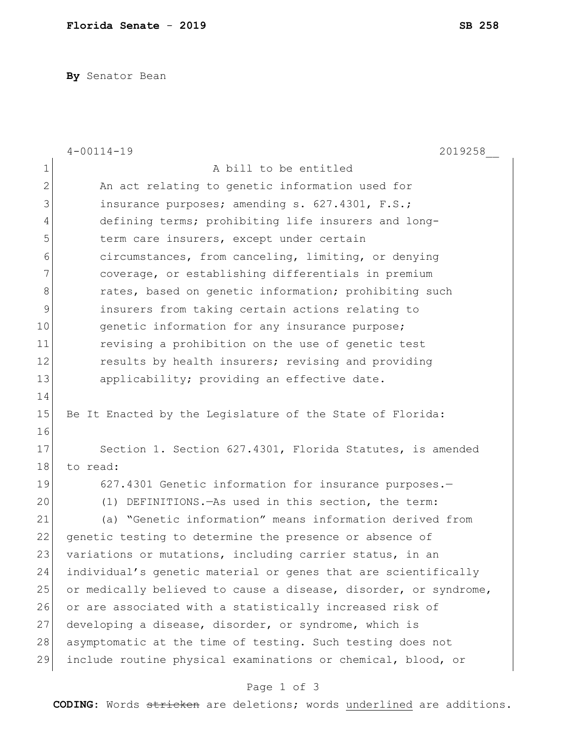**By** Senator Bean

|                | $4 - 00114 - 19$<br>2019258                                      |
|----------------|------------------------------------------------------------------|
| $1\,$          | A bill to be entitled                                            |
| $\overline{2}$ | An act relating to genetic information used for                  |
| 3              | insurance purposes; amending s. 627.4301, F.S.;                  |
| 4              | defining terms; prohibiting life insurers and long-              |
| 5              | term care insurers, except under certain                         |
| 6              | circumstances, from canceling, limiting, or denying              |
| 7              | coverage, or establishing differentials in premium               |
| 8              | rates, based on genetic information; prohibiting such            |
| $\mathsf 9$    | insurers from taking certain actions relating to                 |
| 10             | genetic information for any insurance purpose;                   |
| 11             | revising a prohibition on the use of genetic test                |
| 12             | results by health insurers; revising and providing               |
| 13             | applicability; providing an effective date.                      |
| 14             |                                                                  |
| 15             | Be It Enacted by the Legislature of the State of Florida:        |
| 16             |                                                                  |
| 17             | Section 1. Section 627.4301, Florida Statutes, is amended        |
| 18             | to read:                                                         |
| 19             | 627.4301 Genetic information for insurance purposes.-            |
| 20             | (1) DEFINITIONS. - As used in this section, the term:            |
| 21             | (a) "Genetic information" means information derived from         |
| 22             | genetic testing to determine the presence or absence of          |
| 23             | variations or mutations, including carrier status, in an         |
| 24             | individual's genetic material or genes that are scientifically   |
| 25             | or medically believed to cause a disease, disorder, or syndrome, |
| 26             | or are associated with a statistically increased risk of         |
| 27             | developing a disease, disorder, or syndrome, which is            |
| 28             | asymptomatic at the time of testing. Such testing does not       |
| 29             | include routine physical examinations or chemical, blood, or     |

## Page 1 of 3

**CODING**: Words stricken are deletions; words underlined are additions.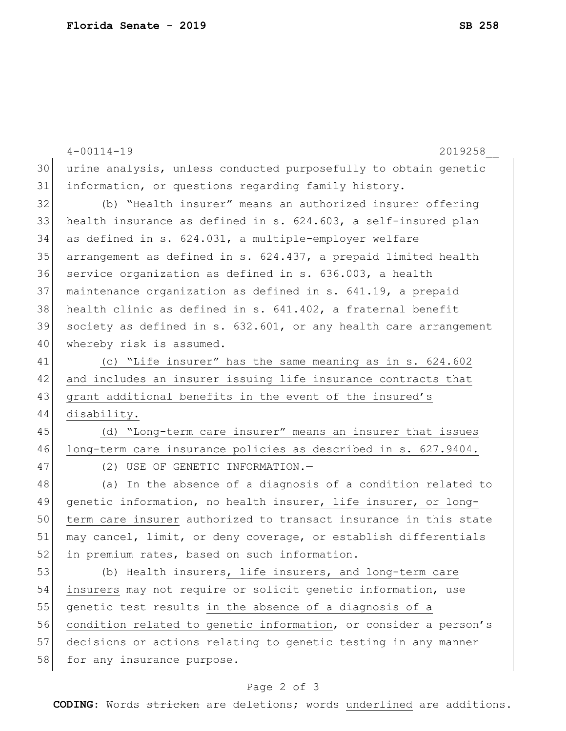|    | $4 - 00114 - 19$<br>2019258                                      |
|----|------------------------------------------------------------------|
| 30 | urine analysis, unless conducted purposefully to obtain genetic  |
| 31 | information, or questions regarding family history.              |
| 32 | (b) "Health insurer" means an authorized insurer offering        |
| 33 | health insurance as defined in s. 624.603, a self-insured plan   |
| 34 | as defined in s. 624.031, a multiple-employer welfare            |
| 35 | arrangement as defined in s. 624.437, a prepaid limited health   |
| 36 | service organization as defined in s. 636.003, a health          |
| 37 | maintenance organization as defined in s. 641.19, a prepaid      |
| 38 | health clinic as defined in s. 641.402, a fraternal benefit      |
| 39 | society as defined in s. 632.601, or any health care arrangement |
| 40 | whereby risk is assumed.                                         |
| 41 | (c) "Life insurer" has the same meaning as in s. 624.602         |
| 42 | and includes an insurer issuing life insurance contracts that    |
| 43 | grant additional benefits in the event of the insured's          |
| 44 | disability.                                                      |
| 45 | (d) "Long-term care insurer" means an insurer that issues        |
| 46 | long-term care insurance policies as described in s. 627.9404.   |
| 47 | (2) USE OF GENETIC INFORMATION.-                                 |
| 48 | (a) In the absence of a diagnosis of a condition related to      |
| 49 | genetic information, no health insurer, life insurer, or long-   |
| 50 | term care insurer authorized to transact insurance in this state |
| 51 | may cancel, limit, or deny coverage, or establish differentials  |
| 52 | in premium rates, based on such information.                     |
| 53 | (b) Health insurers, life insurers, and long-term care           |
| 54 | insurers may not require or solicit genetic information, use     |
| 55 | genetic test results in the absence of a diagnosis of a          |
| 56 | condition related to genetic information, or consider a person's |
| 57 | decisions or actions relating to genetic testing in any manner   |
| 58 | for any insurance purpose.                                       |
|    |                                                                  |

## Page 2 of 3

**CODING**: Words stricken are deletions; words underlined are additions.